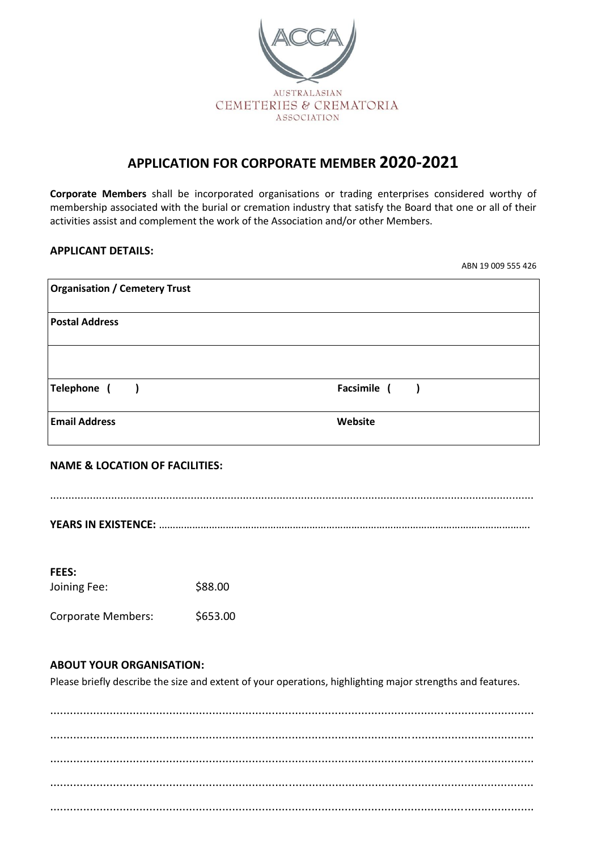

# **APPLICATION FOR CORPORATE MEMBER 2020-2021**

**Corporate Members** shall be incorporated organisations or trading enterprises considered worthy of membership associated with the burial or cremation industry that satisfy the Board that one or all of their activities assist and complement the work of the Association and/or other Members.

# **APPLICANT DETAILS:**

ABN 19 009 555 426

| <b>Organisation / Cemetery Trust</b> |              |
|--------------------------------------|--------------|
| <b>Postal Address</b>                |              |
|                                      |              |
| Telephone ()                         | Facsimile () |
| <b>Email Address</b>                 | Website      |

### **NAME & LOCATION OF FACILITIES:**

..............................................................................................................................................................

**YEARS IN EXISTENCE:** …………………………………………………………………………………………………………………….

| <b>FEES:</b>              |          |
|---------------------------|----------|
| Joining Fee:              | \$88.00  |
| <b>Corporate Members:</b> | \$653.00 |

### **ABOUT YOUR ORGANISATION:**

Please briefly describe the size and extent of your operations, highlighting major strengths and features.

.................................................................................................................................................. .................................................................................................................................................. .................................................................................................................................................. .................................................................................................................................................. ..................................................................................................................................................